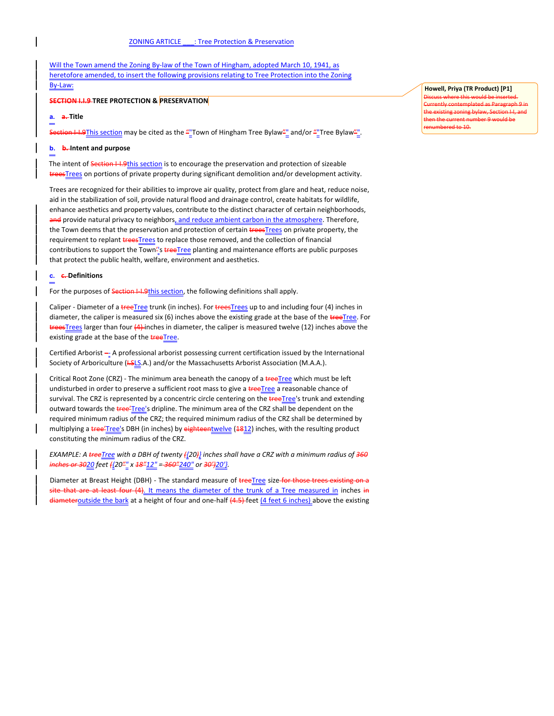Will the Town amend the Zoning By-law of the Town of Hingham, adopted March 10, 1941, as heretofore amended, to insert the following provisions relating to Tree Protection into the Zoning By-Law:

### **SECTION I.I.9 TREE PROTECTION & PRESERVATION**

## **a. a. Title**

Section I-I.9This section may be cited as the "Town of Hingham Tree Bylaw"" and/or "Tree Bylaw"".

# **b. b. Intent and purpose**

The intent of Section I-I.9this section is to encourage the preservation and protection of sizeable treesTrees on portions of private property during significant demolition and/or development activity.

Trees are recognized for their abilities to improve air quality, protect from glare and heat, reduce noise, aid in the stabilization of soil, provide natural flood and drainage control, create habitats for wildlife, enhance aesthetics and property values, contribute to the distinct character of certain neighborhoods, and provide natural privacy to neighbors, and reduce ambient carbon in the atmosphere. Therefore, the Town deems that the preservation and protection of certain **trees Trees** on private property, the requirement to replant treesTrees to replace those removed, and the collection of financial contributions to support the Town<sup>2'</sup>s treeTree planting and maintenance efforts are public purposes that protect the public health, welfare, environment and aesthetics.

## **c. c. Definitions**

For the purposes of Section I-I.9this section, the following definitions shall apply.

Caliper - Diameter of a treeTree trunk (in inches). For treesTrees up to and including four (4) inches in diameter, the caliper is measured six (6) inches above the existing grade at the base of the treeTree. For treesTrees larger than four (4) inches in diameter, the caliper is measured twelve (12) inches above the existing grade at the base of the **treeTree**.

Certified Arborist - A professional arborist possessing current certification issued by the International Society of Arboriculture (HSLS.A.) and/or the Massachusetts Arborist Association (M.A.A.).

Critical Root Zone (CRZ) - The minimum area beneath the canopy of a treeTree which must be left undisturbed in order to preserve a sufficient root mass to give a **treeTree** a reasonable chance of survival. The CRZ is represented by a concentric circle centering on the treeTree's trunk and extending outward towards the tree'Tree's dripline. The minimum area of the CRZ shall be dependent on the required minimum radius of the CRZ; the required minimum radius of the CRZ shall be determined by multiplying a tree'Tree's DBH (in inches) by eighteentwelve (1812) inches, with the resulting product constituting the minimum radius of the CRZ.

*EXAMPLE: A treeTree with a DBH of twenty ({20)} inches shall have a CRZ with a minimum radius of 360 inches or 3020 feet ({20"" x 18"12" = 360"240" or 30')20'}.*

Diameter at Breast Height (DBH) - The standard measure of treeTree size for those trees existing on a site that are at least four (4). It means the diameter of the trunk of a Tree measured in inches in diameteroutside the bark at a height of four and one-half (4.5) feet (4 feet 6 inches) above the existing

# **Howell, Priya (TR Product) [P1]**

Discuss where this would be inserted. Currently contemplated as Paragraph 9 in the existing zoning bylaw, Section I-I, and then the current number 9 would be  $rd$  to 10.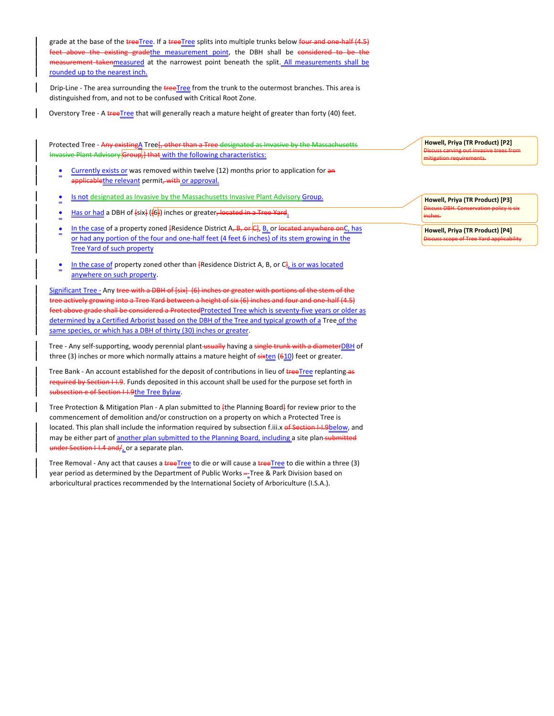grade at the base of the treeTree. If a treeTree splits into multiple trunks below four and one-half (4.5) feet above the existing gradethe measurement point, the DBH shall be considered to be the measurement takenmeasured at the narrowest point beneath the split. All measurements shall be rounded up to the nearest inch.

Drip-Line - The area surrounding the treeTree from the trunk to the outermost branches. This area is distinguished from, and not to be confused with Critical Root Zone.

Overstory Tree - A treeTree that will generally reach a mature height of greater than forty (40) feet.

Protected Tree - Any existingA Tree [, other than a Tree designated as Invasive by the Massachusetts Invasive Plant Advisory Group, ] that with the following characteristics:

- Currently exists or was removed within twelve (12) months prior to application for an applicablethe relevant permit<del>, with</del> or approval.
- Is not designated as Invasive by the Massachusetts Invasive Plant Advisory Group.
- Has or had a DBH of [six] ([6]) inches or greater<del>, located in a Tree Yard</del>.
- In the case of a property zoned  ${Residence District A, B, or C}, B$  or located anywhere on C, has or had any portion of the four and one-half feet (4 feet 6 inches) of its stem growing in the Tree Yard of such property
- In the case of property zoned other than  ${Residence District A, B, or C<sub>i</sub> is or was located}$ anywhere on such property.

Significant Tree - Any tree with a DBH of [six] (6) inches or greater with portions of the stem of the actively growing into a Tree Yard between a height of six (6) inches and four and one-half (4.5) feet above grade shall be considered a ProtectedProtected Tree which is seventy-five years or older as determined by a Certified Arborist based on the DBH of the Tree and typical growth of a Tree of the same species, or which has a DBH of thirty (30) inches or greater.

Tree - Any self-supporting, woody perennial plant-usually having a single trunk with a diameterDBH of three (3) inches or more which normally attains a mature height of  $\frac{1}{x}$  (610) feet or greater.

Tree Bank - An account established for the deposit of contributions in lieu of treeTree replanting as required by Section I-I.9. Funds deposited in this account shall be used for the purpose set forth in subsection e of Section I-I.9the Tree Bylaw.

Tree Protection & Mitigation Plan - A plan submitted to <sup>[the Planning Board]</sup> for review prior to the commencement of demolition and/or construction on a property on which a Protected Tree is located. This plan shall include the information required by subsection f.iii.x of Section I-I.9below, and may be either part of another plan submitted to the Planning Board, including a site plan-submitted under Section I-I.4 and/ \_ or a separate plan.

Tree Removal - Any act that causes a **tree**Tree to die or will cause a treeTree to die within a three (3) year period as determined by the Department of Public Works -- Tree & Park Division based on arboricultural practices recommended by the International Society of Arboriculture (I.S.A.).

**Howell, Priya (TR Product) [P2]** Discuss carving out invasive trees from mitigation requirements.

**Howell, Priya (TR Product) [P3]** Discuss DBH. Conservation policy is six inches.

**Howell, Priya (TR Product) [P4]** Discuss scope of Tree Yard applicability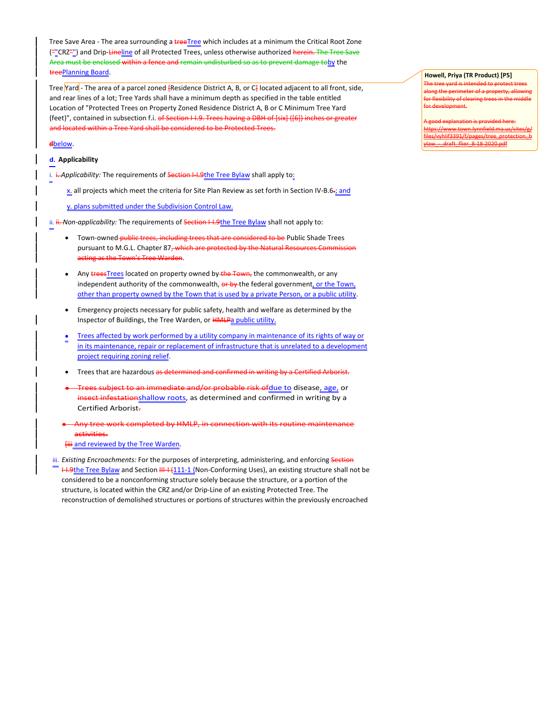Tree Save Area - The area surrounding a treeTree which includes at a minimum the Critical Root Zone (""CRZ"") and Drip-Lineline of all Protected Trees, unless otherwise authorized herein. The Tree Save Area must be enclosed within a fence and remain undisturbed so as to prevent damage toby the treePlanning Board.

Tree Yard - The area of a parcel zoned [Residence District A, B, or C] located adjacent to all front, side, and rear lines of a lot; Tree Yards shall have a minimum depth as specified in the table entitled Location of "Protected Trees on Property Zoned Residence District A, B or C Minimum Tree Yard (feet)", contained in subsection f.i. of Section I-I.9. Trees having a DBH of [six] ([6]) inches or greater and located within a Tree Yard shall be considered to be Protected Trees.

# **d**below.

# **d. Applicability**

i. *i. Applicability:* The requirements of **Section I-I.9the Tree Bylaw** shall apply to:

- x. all projects which meet the criteria for Site Plan Review as set forth in Section IV-B.6-; and
- y. plans submitted under the Subdivision Control Law.

ii. *ii.- Non-applicability*: The requirements of Section I-I.9the Tree Bylaw shall not apply to:

- Town-owned-public trees, including trees that are considered to be Public Shade Trees pursuant to M.G.L. Chapter 87, which are protected by the Natural Resources Commission acting as the Town's Tree Warden.
- Any **trees**Trees located on property owned by the Town, the commonwealth, or any independent authority of the commonwealth, or by the federal government, or the Town, other than property owned by the Town that is used by a private Person, or a public utility.
- Emergency projects necessary for public safety, health and welfare as determined by the Inspector of Buildings, the Tree Warden, or HMLPa public utility.
- Trees affected by work performed by a utility company in maintenance of its rights of way or in its maintenance, repair or replacement of infrastructure that is unrelated to a development project requiring zoning relief.
- Trees that are hazardous as determined and confirmed in writing by a Certified Arborist.
- an immediate and/or probable risk ofdue to disease, age, or insect infestationshallow roots</u>, as determined and confirmed in writing by a Certified Arborist.

 Any tree work completed by HMLP, in connection with its routine maintenance activities.

**Hiji and reviewed by the Tree Warden.** 

iii. *Existing Encroachments:* For the purposes of interpreting, administering, and enforcing Section H.9the Tree Bylaw and Section HH +  $\{111 - 1$  {Non-Conforming Uses), an existing structure shall not be considered to be a nonconforming structure solely because the structure, or a portion of the structure, is located within the CRZ and/or Drip-Line of an existing Protected Tree. The reconstruction of demolished structures or portions of structures within the previously encroached

#### **Howell, Priya (TR Product) [P5]** The tree yard is intended to protect trees

along the perimeter of a property, allowing for flexibility of clearing trees in the middle for development.

A good explanation is provided here: https://www.town.lynnfield.ma.us/sites/g/ if3391/f/pages/tre ylaw\_-\_draft\_flier\_8-18-2020.pdf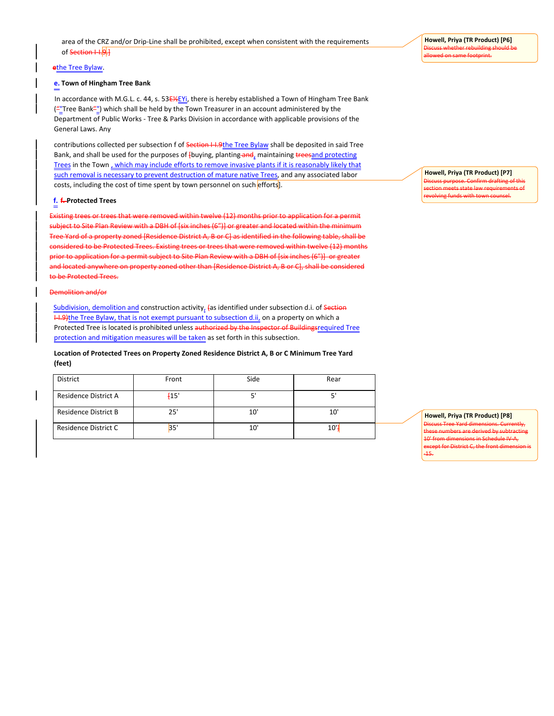# **e**the Tree Bylaw.

## **e. Town of Hingham Tree Bank**

In accordance with M.G.L. c. 44, s. 53E<sup>12</sup>EYi, there is hereby established a Town of Hingham Tree Bank ("Tree Bank"") which shall be held by the Town Treasurer in an account administered by the Department of Public Works - Tree & Parks Division in accordance with applicable provisions of the General Laws. Any

contributions collected per subsection f of Section I-I.9the Tree Bylaw shall be deposited in said Tree Bank, and shall be used for the purposes of [buying, planting-and, maintaining treesand protecting Trees in the Town, which may include efforts to remove invasive plants if it is reasonably likely that such removal is necessary to prevent destruction of mature native Trees, and any associated labor costs, including the cost of time spent by town personnel on such efforts.

## **f. f. Protected Trees**

Existing trees or trees that were removed within twelve (12) months prior to application for a permit subiect to Site Plan Review with a DBH of [six inches (6")] or greater and located within the minim Tree Yard of a property zoned [Residence District A, B or C] as identified in the following table, shall be considered to be Protected Trees. Existing trees or trees that were removed within twelve (12) months prior to application for a permit subject to Site Plan Review with a DBH of [six inches (6")] or greater and located anywhere on property zoned other than [Residence District A, B or C], shall be considered to be Protected Trees.

#### Demolition and/or

Subdivision, demolition and construction activity, (as identified under subsection d.i. of Section H.9)the Tree Bylaw, that is not exempt pursuant to subsection d.ii, on a property on which a Protected Tree is located is prohibited unless authorized by the Inspector of Buildingsrequired Tree protection and mitigation measures will be taken as set forth in this subsection.

# **Location of Protected Trees on Property Zoned Residence District A, B or C Minimum Tree Yard (feet)**

| District             | Front | Side         | Rear |
|----------------------|-------|--------------|------|
| Residence District A | $+15$ | - 1          |      |
| Residence District B | 25'   | $10^{\circ}$ | 10   |
| Residence District C | 35'   | 10'          | 10'  |

**Howell, Priya (TR Product) [P7]**

Discuss purpose. Confirm drafting of this section meets state law requirements of revolving funds with town counsel.

#### **Howell, Priya (TR Product) [P8]**

Discuss Tree Yard dimensions. Currently, these numbers are derived by subtracting 10' from dimensions in Schedule IV-A, at for District C, the front dimension -15.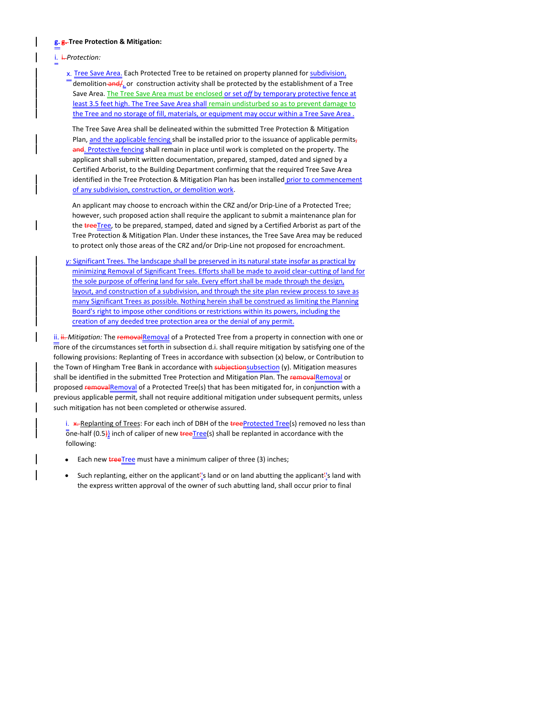### **g. g. Tree Protection & Mitigation:**

i. i. *Protection:*

x. Tree Save Area. Each Protected Tree to be retained on property planned for subdivision, demolition and  $/$ <sub>L</sub> or construction activity shall be protected by the establishment of a Tree Save Area. The Tree Save Area must be enclosed or set *off* by temporary protective fence at least 3.5 feet high. The Tree Save Area shall remain undisturbed so as to prevent damage to the Tree and no storage of fill, materials, or equipment may occur within a Tree Save Area .

The Tree Save Area shall be delineated within the submitted Tree Protection & Mitigation Plan, and the applicable fencing shall be installed prior to the issuance of applicable permits, and. Protective fencing shall remain in place until work is completed on the property. The applicant shall submit written documentation, prepared, stamped, dated and signed by a Certified Arborist, to the Building Department confirming that the required Tree Save Area identified in the Tree Protection & Mitigation Plan has been installed prior to commencement of any subdivision, construction, or demolition work.

An applicant may choose to encroach within the CRZ and/or Drip-Line of a Protected Tree; however, such proposed action shall require the applicant to submit a maintenance plan for the treeTree, to be prepared, stamped, dated and signed by a Certified Arborist as part of the Tree Protection & Mitigation Plan. Under these instances, the Tree Save Area may be reduced to protect only those areas of the CRZ and/or Drip-Line not proposed for encroachment.

*y:* Significant Trees. The landscape shall be preserved in its natural state insofar as practical by minimizing Removal of Significant Trees. Efforts shall be made to avoid clear-cutting of land for the sole purpose of offering land for sale. Every effort shall be made through the design, layout, and construction of a subdivision, and through the site plan review process to save as many Significant Trees as possible. Nothing herein shall be construed as limiting the Planning Board's right to impose other conditions or restrictions within its powers, including the creation of any deeded tree protection area or the denial of any permit.

ii. *ii. - Mitigation:* The removalRemoval of a Protected Tree from a property in connection with one or more of the circumstances set forth in subsection d.i. shall require mitigation by satisfying one of the following provisions: Replanting of Trees in accordance with subsection (x) below, or Contribution to the Town of Hingham Tree Bank in accordance with subjectionsubsection (y). Mitigation measures shall be identified in the submitted Tree Protection and Mitigation Plan. The removalRemoval or proposed removalRemoval of a Protected Tree(s) that has been mitigated for, in conjunction with a previous applicable permit, shall not require additional mitigation under subsequent permits, unless such mitigation has not been completed or otherwise assured.

i. \*-Replanting of Trees: For each inch of DBH of the treeProtected Tree(s) removed no less than  $\overline{0}$ ne-half (0.5)} inch of caliper of new **tree**Tree(s) shall be replanted in accordance with the following:

- Each new **treeTree** must have a minimum caliper of three (3) inches;
- Such replanting, either on the applicant''s land or on land abutting the applicant''s land with the express written approval of the owner of such abutting land, shall occur prior to final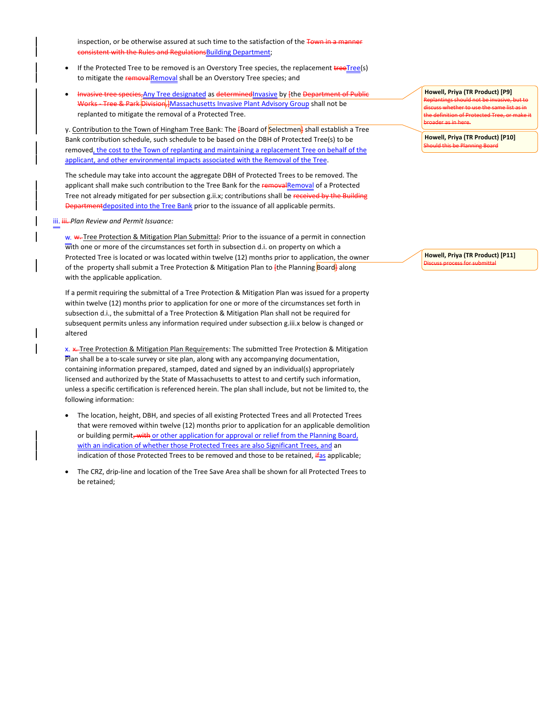inspection, or be otherwise assured at such time to the satisfaction of the Town in a ma **Rules and RegulationsBuilding Department;** 

- If the Protected Tree to be removed is an Overstory Tree species, the replacement treeTree(s) to mitigate the removalRemoval shall be an Overstory Tree species; and
- Invasive tree species,Any Tree designated as determinedInvasive by [the Department of Public Works - Tree & Park Division, ]Massachusetts Invasive Plant Advisory Group shall not be replanted to mitigate the removal of a Protected Tree.

y. Contribution to the Town of Hingham Tree Bank: The [Board of Selectmen] shall establish a Tree Bank contribution schedule, such schedule to be based on the DBH of Protected Tree(s) to be removed, the cost to the Town of replanting and maintaining a replacement Tree on behalf of the applicant, and other environmental impacts associated with the Removal of the Tree.

The schedule may take into account the aggregate DBH of Protected Trees to be removed. The applicant shall make such contribution to the Tree Bank for the removalRemoval of a Protected Tree not already mitigated for per subsection g.ii.x; contributions shall be received by the Building Departmentdeposited into the Tree Bank prior to the issuance of all applicable permits.

### iii. *iii.* Plan Review and Permit Issuance:

w. w. Tree Protection & Mitigation Plan Submittal: Prior to the issuance of a permit in connection with one or more of the circumstances set forth in subsection d.i. on property on which a Protected Tree is located or was located within twelve (12) months prior to application, the owner of the property shall submit a Tree Protection & Mitigation Plan to  $\frac{1}{2}$  the Planning Board along with the applicable application.

If a permit requiring the submittal of a Tree Protection & Mitigation Plan was issued for a property within twelve (12) months prior to application for one or more of the circumstances set forth in subsection d.i., the submittal of a Tree Protection & Mitigation Plan shall not be required for subsequent permits unless any information required under subsection g.iii.x below is changed or altered

x. \*... Tree Protection & Mitigation Plan Requirements: The submitted Tree Protection & Mitigation Plan shall be a to-scale survey or site plan, along with any accompanying documentation, containing information prepared, stamped, dated and signed by an individual(s) appropriately licensed and authorized by the State of Massachusetts to attest to and certify such information, unless a specific certification is referenced herein. The plan shall include, but not be limited to, the following information:

- The location, height, DBH, and species of all existing Protected Trees and all Protected Trees that were removed within twelve (12) months prior to application for an applicable demolition or building permit, with or other application for approval or relief from the Planning Board, with an indication of whether those Protected Trees are also Significant Trees, and an indication of those Protected Trees to be removed and those to be retained,  $\frac{1}{4}$ as applicable;
- The CRZ, drip-line and location of the Tree Save Area shall be shown for all Protected Trees to be retained;

**Howell, Priya (TR Product) [P9]** Replantings should not be invasive, but to ame list as in the definition of Protected Tree, or make it broader as in here.

**Howell, Priya (TR Product) [P10]** Should this be Planning Board

**Howell, Priya (TR Product) [P11]** Discuss process for submittal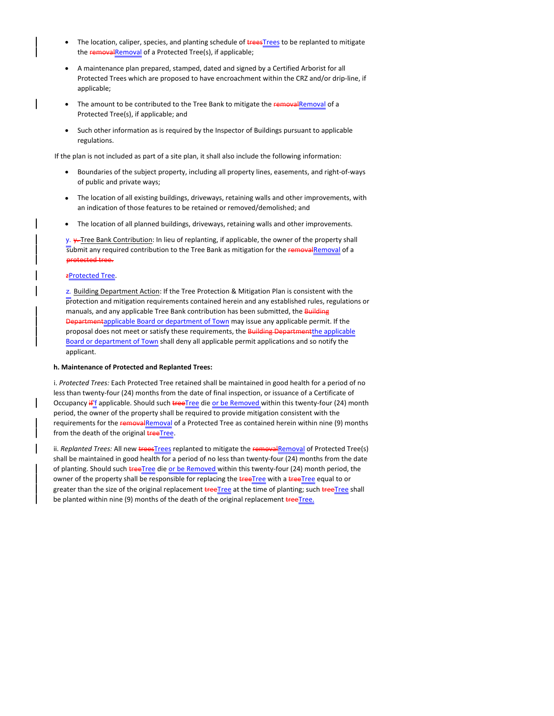- The location, caliper, species, and planting schedule of **trees**Trees to be replanted to mitigate the removalRemoval of a Protected Tree(s), if applicable;
- A maintenance plan prepared, stamped, dated and signed by a Certified Arborist for all Protected Trees which are proposed to have encroachment within the CRZ and/or drip-line, if applicable;
- The amount to be contributed to the Tree Bank to mitigate the removalRemoval of a Protected Tree(s), if applicable; and
- Such other information as is required by the Inspector of Buildings pursuant to applicable regulations.

If the plan is not included as part of a site plan, it shall also include the following information:

- Boundaries of the subject property, including all property lines, easements, and right-of-ways of public and private ways;
- The location of all existing buildings, driveways, retaining walls and other improvements, with an indication of those features to be retained or removed/demolished; and
- The location of all planned buildings, driveways, retaining walls and other improvements.

y. y-Tree Bank Contribution: In lieu of replanting, if applicable, the owner of the property shall submit any required contribution to the Tree Bank as mitigation for the removalRemoval of a protected tree.

# zProtected Tree.

z. Building Department Action: If the Tree Protection & Mitigation Plan is consistent with the  $\overline{p}$ rotection and mitigation requirements contained herein and any established rules, regulations or manuals, and any applicable Tree Bank contribution has been submitted, the **Building** Departmentapplicable Board or department of Town may issue any applicable permit. If the proposal does not meet or satisfy these requirements, the Building Department the applicable Board or department of Town shall deny all applicable permit applications and so notify the applicant.

## **h. Maintenance of Protected and Replanted Trees:**

i. *Protected Trees:* Each Protected Tree retained shall be maintained in good health for a period of no less than twenty-four (24) months from the date of final inspection, or issuance of a Certificate of Occupancy if' f applicable. Should such treeTree die or be Removed within this twenty-four (24) month period, the owner of the property shall be required to provide mitigation consistent with the requirements for the removal Removal of a Protected Tree as contained herein within nine (9) months from the death of the original **tree Tree**.

ii. *Replanted Trees: All new treesTrees replanted to mitigate the removalRemoval of Protected Tree(s)* shall be maintained in good health for a period of no less than twenty-four (24) months from the date of planting. Should such treeTree die or be Removed within this twenty-four (24) month period, the owner of the property shall be responsible for replacing the **treeTree** with a treeTree equal to or greater than the size of the original replacement treeTree at the time of planting; such treeTree shall be planted within nine (9) months of the death of the original replacement treeTree.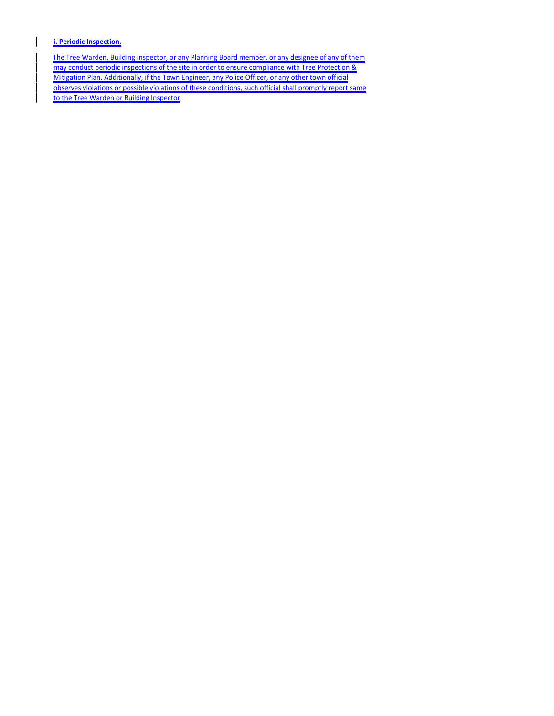**i. Periodic Inspection.**

The Tree Warden, Building Inspector, or any Planning Board member, or any designee of any of them may conduct periodic inspections of the site in order to ensure compliance with Tree Protection & Mitigation Plan. Additionally, if the Town Engineer, any Police Officer, or any other town official observes violations or possible violations of these conditions, such official shall promptly report same to the Tree Warden or Building Inspector.